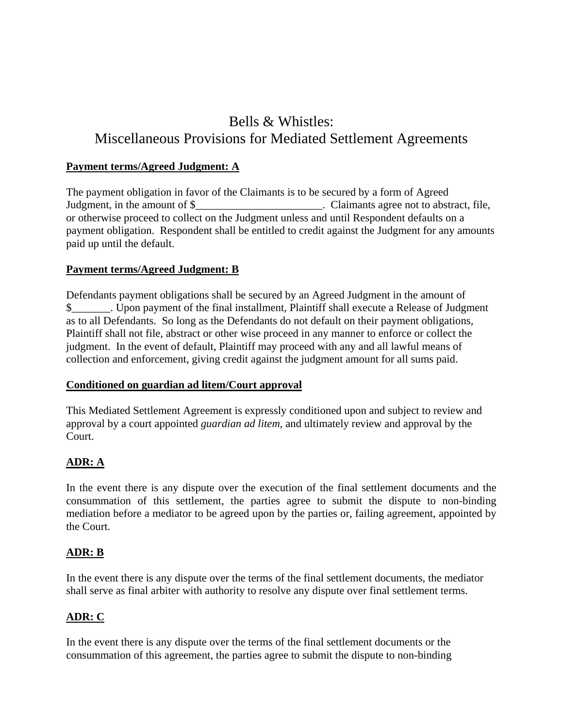# Bells & Whistles: Miscellaneous Provisions for Mediated Settlement Agreements

#### **Payment terms/Agreed Judgment: A**

The payment obligation in favor of the Claimants is to be secured by a form of Agreed Judgment, in the amount of \$\_\_\_\_\_\_\_\_\_\_\_\_\_\_\_\_\_\_\_\_\_\_. Claimants agree not to abstract, file, or otherwise proceed to collect on the Judgment unless and until Respondent defaults on a payment obligation. Respondent shall be entitled to credit against the Judgment for any amounts paid up until the default.

#### **Payment terms/Agreed Judgment: B**

Defendants payment obligations shall be secured by an Agreed Judgment in the amount of \$\_\_\_\_\_\_\_. Upon payment of the final installment, Plaintiff shall execute a Release of Judgment as to all Defendants. So long as the Defendants do not default on their payment obligations, Plaintiff shall not file, abstract or other wise proceed in any manner to enforce or collect the judgment. In the event of default, Plaintiff may proceed with any and all lawful means of collection and enforcement, giving credit against the judgment amount for all sums paid.

#### **Conditioned on guardian ad litem/Court approval**

This Mediated Settlement Agreement is expressly conditioned upon and subject to review and approval by a court appointed *guardian ad litem*, and ultimately review and approval by the Court.

# **ADR: A**

In the event there is any dispute over the execution of the final settlement documents and the consummation of this settlement, the parties agree to submit the dispute to non-binding mediation before a mediator to be agreed upon by the parties or, failing agreement, appointed by the Court.

# **ADR: B**

In the event there is any dispute over the terms of the final settlement documents, the mediator shall serve as final arbiter with authority to resolve any dispute over final settlement terms.

# **ADR: C**

In the event there is any dispute over the terms of the final settlement documents or the consummation of this agreement, the parties agree to submit the dispute to non-binding